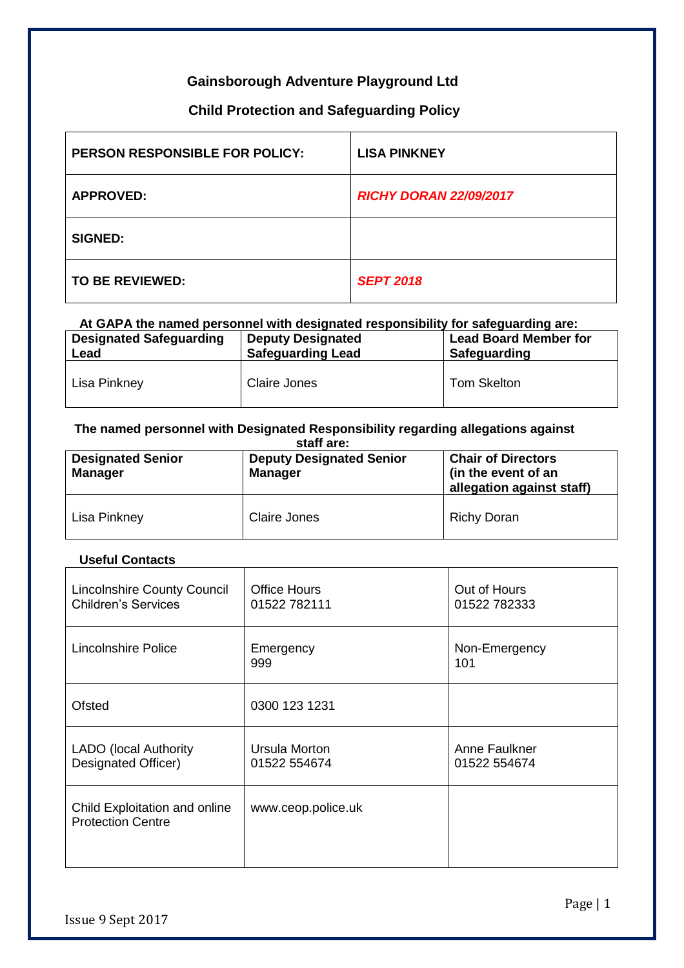### **Gainsborough Adventure Playground Ltd**

### **Child Protection and Safeguarding Policy**

| <b>PERSON RESPONSIBLE FOR POLICY:</b> | <b>LISA PINKNEY</b>           |
|---------------------------------------|-------------------------------|
| <b>APPROVED:</b>                      | <b>RICHY DORAN 22/09/2017</b> |
| <b>SIGNED:</b>                        |                               |
| TO BE REVIEWED:                       | <b>SEPT 2018</b>              |

#### **At GAPA the named personnel with designated responsibility for safeguarding are: Designated Safeguarding Lead Deputy Designated Safeguarding Lead Lead Board Member for Safeguarding** Lisa Pinkney Claire Jones | Tom Skelton

### **The named personnel with Designated Responsibility regarding allegations against**

| staff are:<br><b>Chair of Directors</b><br><b>Deputy Designated Senior</b><br><b>Designated Senior</b> |                |                                                  |  |  |
|--------------------------------------------------------------------------------------------------------|----------------|--------------------------------------------------|--|--|
| <b>Manager</b>                                                                                         | <b>Manager</b> | (in the event of an<br>allegation against staff) |  |  |
| Lisa Pinkney                                                                                           | Claire Jones   | <b>Richy Doran</b>                               |  |  |

#### **Useful Contacts**

| <b>Lincolnshire County Council</b><br><b>Children's Services</b> | <b>Office Hours</b><br>01522 782111 | Out of Hours<br>01522 782333  |
|------------------------------------------------------------------|-------------------------------------|-------------------------------|
| Lincolnshire Police                                              | Emergency<br>999                    | Non-Emergency<br>101          |
| Ofsted                                                           | 0300 123 1231                       |                               |
| <b>LADO</b> (local Authority<br>Designated Officer)              | Ursula Morton<br>01522 554674       | Anne Faulkner<br>01522 554674 |
| Child Exploitation and online<br><b>Protection Centre</b>        | www.ceop.police.uk                  |                               |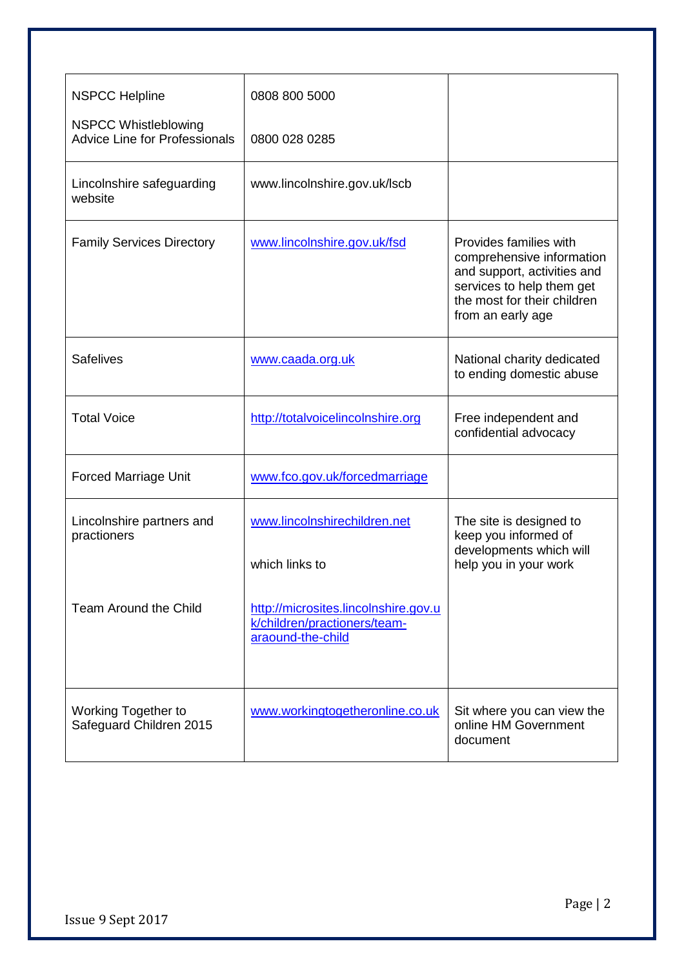| <b>NSPCC Helpline</b>                                               | 0808 800 5000                                                                             |                                                                                                                                                                     |
|---------------------------------------------------------------------|-------------------------------------------------------------------------------------------|---------------------------------------------------------------------------------------------------------------------------------------------------------------------|
| <b>NSPCC Whistleblowing</b><br><b>Advice Line for Professionals</b> | 0800 028 0285                                                                             |                                                                                                                                                                     |
| Lincolnshire safeguarding<br>website                                | www.lincolnshire.gov.uk/lscb                                                              |                                                                                                                                                                     |
| <b>Family Services Directory</b>                                    | www.lincolnshire.gov.uk/fsd                                                               | Provides families with<br>comprehensive information<br>and support, activities and<br>services to help them get<br>the most for their children<br>from an early age |
| <b>Safelives</b>                                                    | www.caada.org.uk                                                                          | National charity dedicated<br>to ending domestic abuse                                                                                                              |
| <b>Total Voice</b>                                                  | http://totalvoicelincolnshire.org                                                         | Free independent and<br>confidential advocacy                                                                                                                       |
| <b>Forced Marriage Unit</b>                                         | www.fco.gov.uk/forcedmarriage                                                             |                                                                                                                                                                     |
| Lincolnshire partners and<br>practioners                            | www.lincolnshirechildren.net<br>which links to                                            | The site is designed to<br>keep you informed of<br>developments which will<br>help you in your work                                                                 |
| <b>Team Around the Child</b>                                        | http://microsites.lincolnshire.gov.u<br>k/children/practioners/team-<br>araound-the-child |                                                                                                                                                                     |
| Working Together to<br>Safeguard Children 2015                      | www.workingtogetheronline.co.uk                                                           | Sit where you can view the<br>online HM Government<br>document                                                                                                      |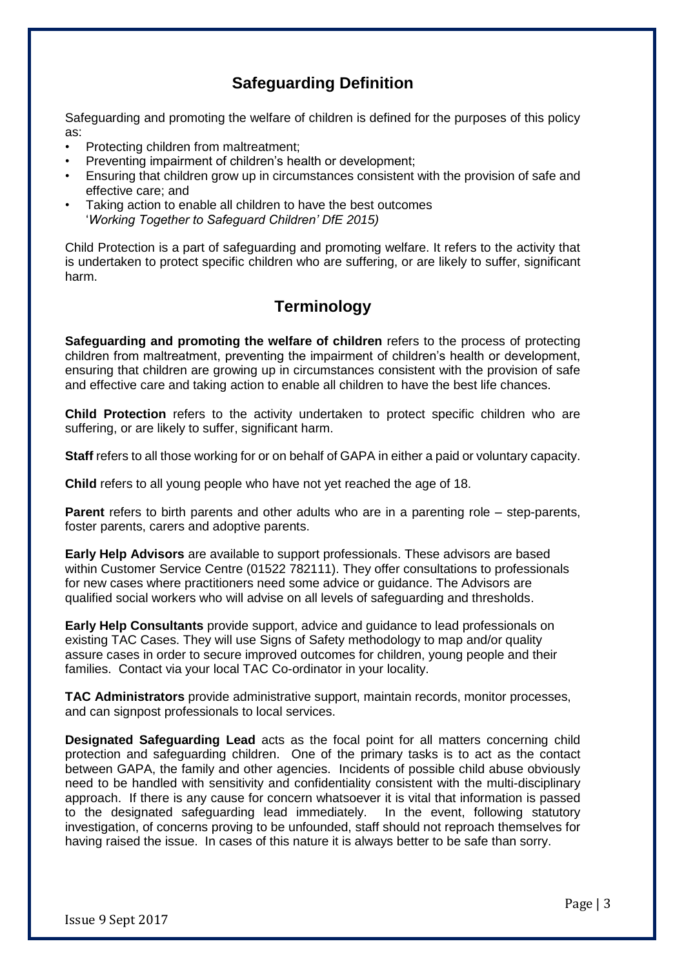# **Safeguarding Definition**

Safeguarding and promoting the welfare of children is defined for the purposes of this policy as:

- Protecting children from maltreatment;
- Preventing impairment of children's health or development;
- Ensuring that children grow up in circumstances consistent with the provision of safe and effective care; and
- Taking action to enable all children to have the best outcomes '*[Working Together to Safeguard Children'](https://www.gov.uk/government/publications/working-together-to-safeguard-children--2) DfE 2015)*

Child Protection is a part of safeguarding and promoting welfare. It refers to the activity that is undertaken to protect specific children who are suffering, or are likely to suffer, significant harm.

# **Terminology**

**Safeguarding and promoting the welfare of children** refers to the process of protecting children from maltreatment, preventing the impairment of children's health or development, ensuring that children are growing up in circumstances consistent with the provision of safe and effective care and taking action to enable all children to have the best life chances.

**Child Protection** refers to the activity undertaken to protect specific children who are suffering, or are likely to suffer, significant harm.

**Staff** refers to all those working for or on behalf of GAPA in either a paid or voluntary capacity.

**Child** refers to all young people who have not yet reached the age of 18.

**Parent** refers to birth parents and other adults who are in a parenting role – step-parents, foster parents, carers and adoptive parents.

**Early Help Advisors** are available to support professionals. These advisors are based within Customer Service Centre (01522 782111). They offer consultations to professionals for new cases where practitioners need some advice or guidance. The Advisors are qualified social workers who will advise on all levels of safeguarding and thresholds.

**Early Help Consultants** provide support, advice and guidance to lead professionals on existing TAC Cases. They will use Signs of Safety methodology to map and/or quality assure cases in order to secure improved outcomes for children, young people and their families. Contact via your local TAC Co-ordinator in your locality.

**TAC Administrators** provide administrative support, maintain records, monitor processes, and can signpost professionals to local services.

**Designated Safeguarding Lead** acts as the focal point for all matters concerning child protection and safeguarding children. One of the primary tasks is to act as the contact between GAPA, the family and other agencies. Incidents of possible child abuse obviously need to be handled with sensitivity and confidentiality consistent with the multi-disciplinary approach. If there is any cause for concern whatsoever it is vital that information is passed to the designated safeguarding lead immediately. In the event, following statutory investigation, of concerns proving to be unfounded, staff should not reproach themselves for having raised the issue. In cases of this nature it is always better to be safe than sorry.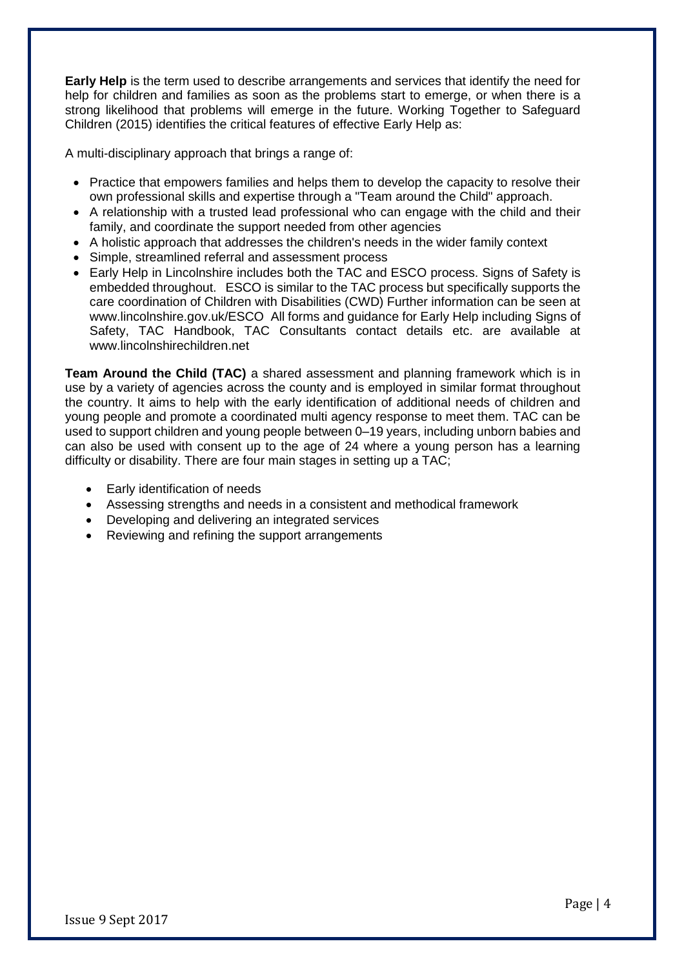**Early Help** is the term used to describe arrangements and services that identify the need for help for children and families as soon as the problems start to emerge, or when there is a strong likelihood that problems will emerge in the future. Working Together to Safeguard Children (2015) identifies the critical features of effective Early Help as:

A multi-disciplinary approach that brings a range of:

- Practice that empowers families and helps them to develop the capacity to resolve their own professional skills and expertise through a "Team around the Child" approach.
- A relationship with a trusted lead professional who can engage with the child and their family, and coordinate the support needed from other agencies
- A holistic approach that addresses the children's needs in the wider family context
- Simple, streamlined referral and assessment process
- Early Help in Lincolnshire includes both the TAC and ESCO process. Signs of Safety is embedded throughout. ESCO is similar to the TAC process but specifically supports the care coordination of Children with Disabilities (CWD) Further information can be seen at www.lincolnshire.gov.uk/ESCO All forms and guidance for Early Help including Signs of Safety, TAC Handbook, TAC Consultants contact details etc. are available at www.lincolnshirechildren.net

**Team Around the Child (TAC)** a shared assessment and planning framework which is in use by a variety of agencies across the county and is employed in similar format throughout the country. It aims to help with the early identification of additional needs of children and young people and promote a coordinated multi agency response to meet them. TAC can be used to support children and young people between 0–19 years, including unborn babies and can also be used with consent up to the age of 24 where a young person has a learning difficulty or disability. There are four main stages in setting up a TAC;

- Early identification of needs
- Assessing strengths and needs in a consistent and methodical framework
- Developing and delivering an integrated services
- Reviewing and refining the support arrangements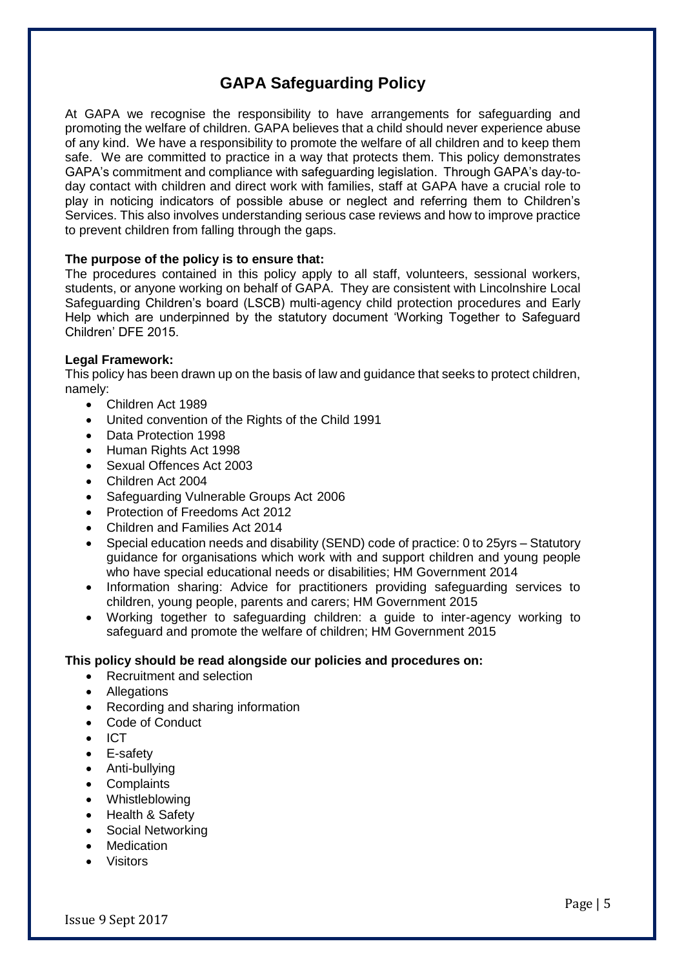# **GAPA Safeguarding Policy**

At GAPA we recognise the responsibility to have arrangements for safeguarding and promoting the welfare of children. GAPA believes that a child should never experience abuse of any kind. We have a responsibility to promote the welfare of all children and to keep them safe. We are committed to practice in a way that protects them. This policy demonstrates GAPA's commitment and compliance with safeguarding legislation. Through GAPA's day-today contact with children and direct work with families, staff at GAPA have a crucial role to play in noticing indicators of possible abuse or neglect and referring them to Children's Services. This also involves understanding serious case reviews and how to improve practice to prevent children from falling through the gaps.

#### **The purpose of the policy is to ensure that:**

The procedures contained in this policy apply to all staff, volunteers, sessional workers, students, or anyone working on behalf of GAPA. They are consistent with Lincolnshire Local Safeguarding Children's board (LSCB) multi-agency child protection procedures and Early Help which are underpinned by the statutory document 'Working Together to Safeguard Children' DFE 2015.

#### **Legal Framework:**

This policy has been drawn up on the basis of law and guidance that seeks to protect children, namely:

- Children Act 1989
- United convention of the Rights of the Child 1991
- Data Protection 1998
- Human Rights Act 1998
- Sexual Offences Act 2003
- Children Act 2004
- Safeguarding Vulnerable Groups Act 2006
- Protection of Freedoms Act 2012
- Children and Families Act 2014
- Special education needs and disability (SEND) code of practice: 0 to 25yrs Statutory guidance for organisations which work with and support children and young people who have special educational needs or disabilities; HM Government 2014
- Information sharing: Advice for practitioners providing safeguarding services to children, young people, parents and carers; HM Government 2015
- Working together to safeguarding children: a guide to inter-agency working to safeguard and promote the welfare of children; HM Government 2015

#### **This policy should be read alongside our policies and procedures on:**

- Recruitment and selection
- Allegations
- Recording and sharing information
- Code of Conduct
- ICT
- E-safety
- Anti-bullying
- Complaints
- **Whistleblowing**
- Health & Safety
- Social Networking
- Medication
- **Visitors**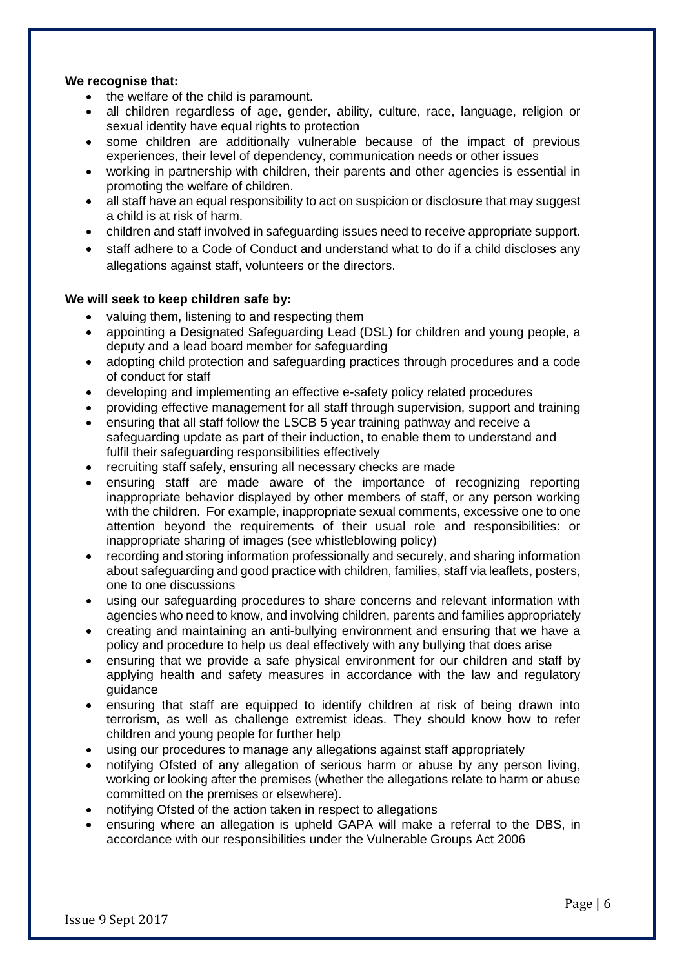#### **We recognise that:**

- the welfare of the child is paramount.
- all children regardless of age, gender, ability, culture, race, language, religion or sexual identity have equal rights to protection
- some children are additionally vulnerable because of the impact of previous experiences, their level of dependency, communication needs or other issues
- working in partnership with children, their parents and other agencies is essential in promoting the welfare of children.
- all staff have an equal responsibility to act on suspicion or disclosure that may suggest a child is at risk of harm.
- children and staff involved in safeguarding issues need to receive appropriate support.
- staff adhere to a Code of Conduct and understand what to do if a child discloses any allegations against staff, volunteers or the directors.

#### **We will seek to keep children safe by:**

- valuing them, listening to and respecting them
- appointing a Designated Safeguarding Lead (DSL) for children and young people, a deputy and a lead board member for safeguarding
- adopting child protection and safeguarding practices through procedures and a code of conduct for staff
- developing and implementing an effective e-safety policy related procedures
- providing effective management for all staff through supervision, support and training
- ensuring that all staff follow the LSCB 5 year training pathway and receive a safeguarding update as part of their induction, to enable them to understand and fulfil their safeguarding responsibilities effectively
- recruiting staff safely, ensuring all necessary checks are made
- ensuring staff are made aware of the importance of recognizing reporting inappropriate behavior displayed by other members of staff, or any person working with the children. For example, inappropriate sexual comments, excessive one to one attention beyond the requirements of their usual role and responsibilities: or inappropriate sharing of images (see whistleblowing policy)
- recording and storing information professionally and securely, and sharing information about safeguarding and good practice with children, families, staff via leaflets, posters, one to one discussions
- using our safeguarding procedures to share concerns and relevant information with agencies who need to know, and involving children, parents and families appropriately
- creating and maintaining an anti-bullying environment and ensuring that we have a policy and procedure to help us deal effectively with any bullying that does arise
- ensuring that we provide a safe physical environment for our children and staff by applying health and safety measures in accordance with the law and regulatory guidance
- ensuring that staff are equipped to identify children at risk of being drawn into terrorism, as well as challenge extremist ideas. They should know how to refer children and young people for further help
- using our procedures to manage any allegations against staff appropriately
- notifying Ofsted of any allegation of serious harm or abuse by any person living, working or looking after the premises (whether the allegations relate to harm or abuse committed on the premises or elsewhere).
- notifying Ofsted of the action taken in respect to allegations
- ensuring where an allegation is upheld GAPA will make a referral to the DBS, in accordance with our responsibilities under the Vulnerable Groups Act 2006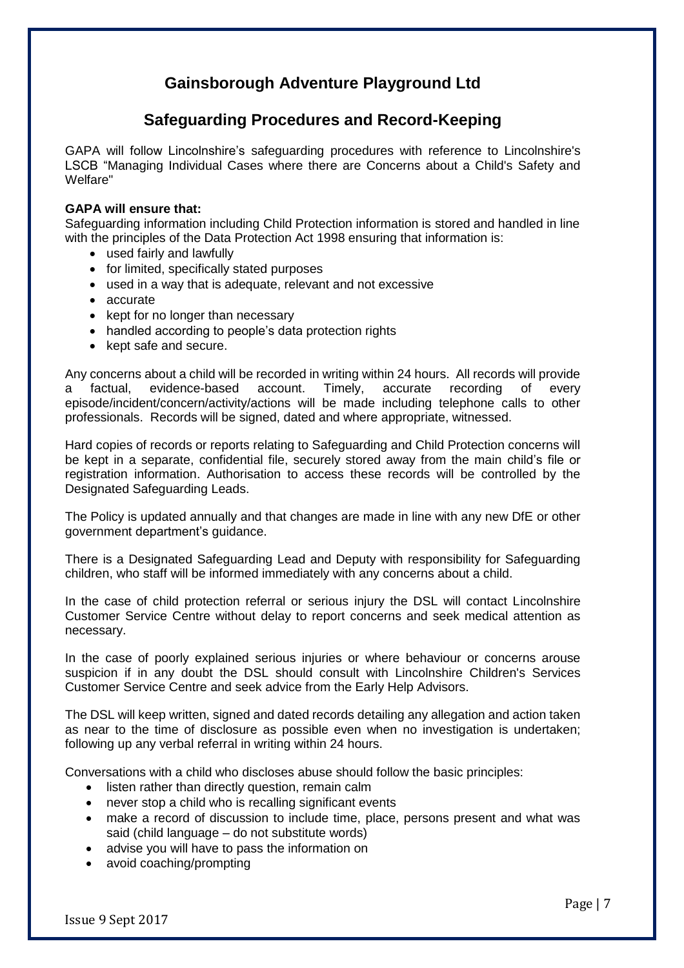# **Gainsborough Adventure Playground Ltd**

# **Safeguarding Procedures and Record-Keeping**

GAPA will follow Lincolnshire's safeguarding procedures with reference to Lincolnshire's LSCB "Managing Individual Cases where there are Concerns about a Child's Safety and Welfare"

#### **GAPA will ensure that:**

Safeguarding information including Child Protection information is stored and handled in line with the principles of the Data Protection Act 1998 ensuring that information is:

- used fairly and lawfully
- for limited, specifically stated purposes
- used in a way that is adequate, relevant and not excessive
- accurate
- kept for no longer than necessary
- handled according to people's data protection rights
- kept safe and secure.

Any concerns about a child will be recorded in writing within 24 hours. All records will provide a factual, evidence-based account. Timely, accurate recording of every episode/incident/concern/activity/actions will be made including telephone calls to other professionals. Records will be signed, dated and where appropriate, witnessed.

Hard copies of records or reports relating to Safeguarding and Child Protection concerns will be kept in a separate, confidential file, securely stored away from the main child's file or registration information. Authorisation to access these records will be controlled by the Designated Safeguarding Leads.

The Policy is updated annually and that changes are made in line with any new DfE or other government department's guidance.

There is a Designated Safeguarding Lead and Deputy with responsibility for Safeguarding children, who staff will be informed immediately with any concerns about a child.

In the case of child protection referral or serious injury the DSL will contact Lincolnshire Customer Service Centre without delay to report concerns and seek medical attention as necessary.

In the case of poorly explained serious injuries or where behaviour or concerns arouse suspicion if in any doubt the DSL should consult with Lincolnshire Children's Services Customer Service Centre and seek advice from the Early Help Advisors.

The DSL will keep written, signed and dated records detailing any allegation and action taken as near to the time of disclosure as possible even when no investigation is undertaken; following up any verbal referral in writing within 24 hours.

Conversations with a child who discloses abuse should follow the basic principles:

- listen rather than directly question, remain calm
- never stop a child who is recalling significant events
- make a record of discussion to include time, place, persons present and what was said (child language – do not substitute words)
- advise you will have to pass the information on
- avoid coaching/prompting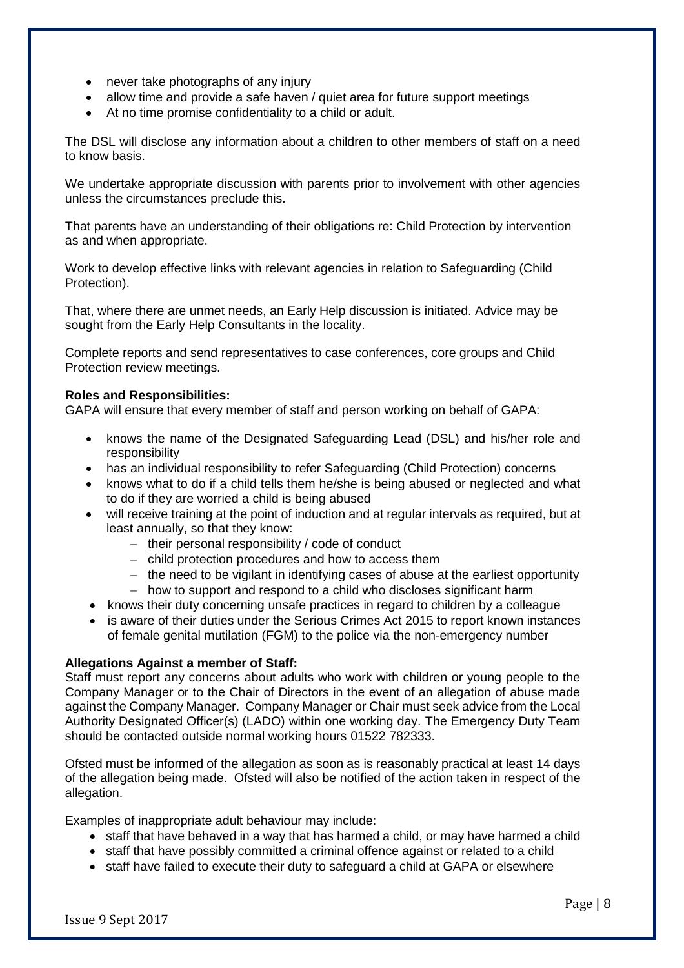- never take photographs of any injury
- allow time and provide a safe haven / quiet area for future support meetings
- At no time promise confidentiality to a child or adult.

The DSL will disclose any information about a children to other members of staff on a need to know basis.

We undertake appropriate discussion with parents prior to involvement with other agencies unless the circumstances preclude this.

That parents have an understanding of their obligations re: Child Protection by intervention as and when appropriate.

Work to develop effective links with relevant agencies in relation to Safeguarding (Child Protection).

That, where there are unmet needs, an Early Help discussion is initiated. Advice may be sought from the Early Help Consultants in the locality.

Complete reports and send representatives to case conferences, core groups and Child Protection review meetings.

#### **Roles and Responsibilities:**

GAPA will ensure that every member of staff and person working on behalf of GAPA:

- knows the name of the Designated Safeguarding Lead (DSL) and his/her role and responsibility
- has an individual responsibility to refer Safeguarding (Child Protection) concerns
- knows what to do if a child tells them he/she is being abused or neglected and [what](https://www.gov.uk/government/publications/what-to-do-if-youre-worried-a-child-is-being-abused--2)  to do if they [are worried a child is being abused](https://www.gov.uk/government/publications/what-to-do-if-youre-worried-a-child-is-being-abused--2)
- will receive training at the point of induction and at regular intervals as required, but at least annually, so that they know:
	- − their personal responsibility / code of conduct
	- − child protection procedures and how to access them
	- − the need to be vigilant in identifying cases of abuse at the earliest opportunity
	- − how to support and respond to a child who discloses significant harm
- knows their duty concerning unsafe practices in regard to children by a colleague
- is aware of their duties under the [Serious Crimes Act 2015](https://www.gov.uk/government/publications/mandatory-reporting-of-female-genital-mutilation-procedural-information) to report known instances of female genital mutilation (FGM) to the police via the non-emergency number

#### **Allegations Against a member of Staff:**

Staff must report any concerns about adults who work with children or young people to the Company Manager or to the Chair of Directors in the event of an allegation of abuse made against the Company Manager. Company Manager or Chair must seek advice from the Local Authority Designated Officer(s) (LADO) within one working day. The Emergency Duty Team should be contacted outside normal working hours 01522 782333.

Ofsted must be informed of the allegation as soon as is reasonably practical at least 14 days of the allegation being made. Ofsted will also be notified of the action taken in respect of the allegation.

Examples of inappropriate adult behaviour may include:

- staff that have behaved in a way that has harmed a child, or may have harmed a child
- staff that have possibly committed a criminal offence against or related to a child
- staff have failed to execute their duty to safeguard a child at GAPA or elsewhere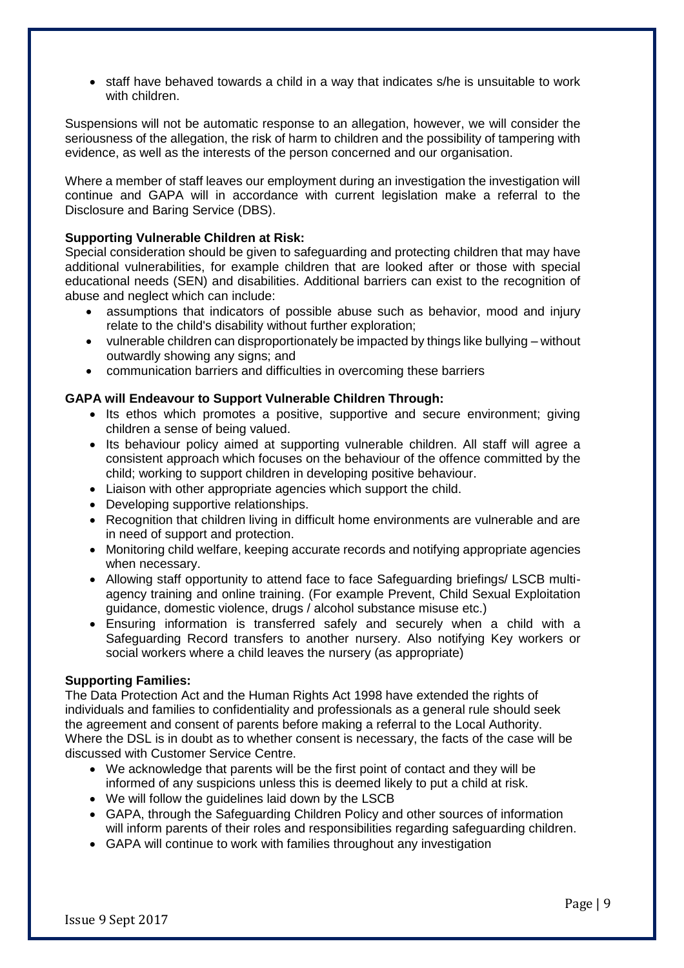• staff have behaved towards a child in a way that indicates s/he is unsuitable to work with children.

Suspensions will not be automatic response to an allegation, however, we will consider the seriousness of the allegation, the risk of harm to children and the possibility of tampering with evidence, as well as the interests of the person concerned and our organisation.

Where a member of staff leaves our employment during an investigation the investigation will continue and GAPA will in accordance with current legislation make a referral to the Disclosure and Baring Service (DBS).

#### **Supporting Vulnerable Children at Risk:**

Special consideration should be given to safeguarding and protecting children that may have additional vulnerabilities, for example children that are looked after or those with special educational needs (SEN) and disabilities. Additional barriers can exist to the recognition of abuse and neglect which can include:

- assumptions that indicators of possible abuse such as behavior, mood and injury relate to the child's disability without further exploration;
- vulnerable children can disproportionately be impacted by things like bullying without outwardly showing any signs; and
- communication barriers and difficulties in overcoming these barriers

#### **GAPA will Endeavour to Support Vulnerable Children Through:**

- Its ethos which promotes a positive, supportive and secure environment; giving children a sense of being valued.
- Its behaviour policy aimed at supporting vulnerable children. All staff will agree a consistent approach which focuses on the behaviour of the offence committed by the child; working to support children in developing positive behaviour.
- Liaison with other appropriate agencies which support the child.
- Developing supportive relationships.
- Recognition that children living in difficult home environments are vulnerable and are in need of support and protection.
- Monitoring child welfare, keeping accurate records and notifying appropriate agencies when necessary.
- Allowing staff opportunity to attend face to face Safeguarding briefings/ LSCB multiagency training and online training. (For example Prevent, Child Sexual Exploitation guidance, domestic violence, drugs / alcohol substance misuse etc.)
- Ensuring information is transferred safely and securely when a child with a Safeguarding Record transfers to another nursery. Also notifying Key workers or social workers where a child leaves the nursery (as appropriate)

#### **Supporting Families:**

The Data Protection Act and the Human Rights Act 1998 have extended the rights of individuals and families to confidentiality and professionals as a general rule should seek the agreement and consent of parents before making a referral to the Local Authority. Where the DSL is in doubt as to whether consent is necessary, the facts of the case will be discussed with Customer Service Centre.

- We acknowledge that parents will be the first point of contact and they will be informed of any suspicions unless this is deemed likely to put a child at risk.
- We will follow the guidelines laid down by the LSCB
- GAPA, through the Safeguarding Children Policy and other sources of information will inform parents of their roles and responsibilities regarding safeguarding children.
- GAPA will continue to work with families throughout any investigation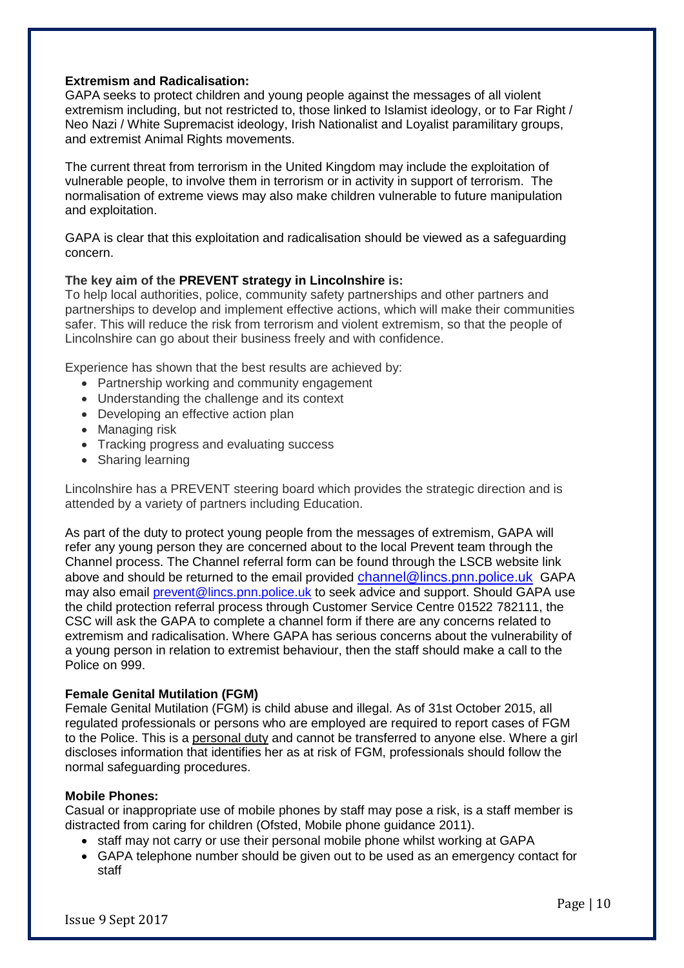### **Extremism and Radicalisation:**

GAPA seeks to protect children and young people against the messages of all violent extremism including, but not restricted to, those linked to Islamist ideology, or to Far Right / Neo Nazi / White Supremacist ideology, Irish Nationalist and Loyalist paramilitary groups, and extremist Animal Rights movements.

The current threat from terrorism in the United Kingdom may include the exploitation of vulnerable people, to involve them in terrorism or in activity in support of terrorism. The normalisation of extreme views may also make children vulnerable to future manipulation and exploitation.

GAPA is clear that this exploitation and radicalisation should be viewed as a safeguarding concern.

#### **The key aim of the [PREVENT strategy in Lincolnshire](http://www.lincolnshire.gov.uk/lscb/professionals/vulnerability/extremism/125941.article) is:**

To help local authorities, police, community safety partnerships and other partners and partnerships to develop and implement effective actions, which will make their communities safer. This will reduce the risk from terrorism and violent extremism, so that the people of Lincolnshire can go about their business freely and with confidence.

Experience has shown that the best results are achieved by:

- Partnership working and community engagement
- Understanding the challenge and its context
- Developing an effective action plan
- Managing risk
- Tracking progress and evaluating success
- Sharing learning

Lincolnshire has a PREVENT steering board which provides the strategic direction and is attended by a variety of partners including Education.

As part of the duty to protect young people from the messages of extremism, GAPA will refer any young person they are concerned about to the local Prevent team through the Channel process. The Channel referral form can be found through the LSCB website link above and should be returned to the email provided [channel@lincs.pnn.police.uk](mailto:channel@lincs.pnn.police.uk) GAPA may also email [prevent@lincs.pnn.police.uk](mailto:prevent@lincs.pnn.police.uk) to seek advice and support. Should GAPA use the child protection referral process through Customer Service Centre 01522 782111, the CSC will ask the GAPA to complete a channel form if there are any concerns related to extremism and radicalisation. Where GAPA has serious concerns about the vulnerability of a young person in relation to extremist behaviour, then the staff should make a call to the Police on 999.

#### **Female Genital Mutilation (FGM)**

Female Genital Mutilation (FGM) is child abuse and illegal. As of 31st October 2015, all regulated professionals or persons who are employed are required to report cases of FGM to the Police. This is a personal duty and cannot be transferred to anyone else. Where a girl discloses information that identifies her as at risk of FGM, professionals should follow the normal safeguarding procedures.

#### **Mobile Phones:**

Casual or inappropriate use of mobile phones by staff may pose a risk, is a staff member is distracted from caring for children (Ofsted, Mobile phone guidance 2011).

- staff may not carry or use their personal mobile phone whilst working at GAPA
- GAPA telephone number should be given out to be used as an emergency contact for staff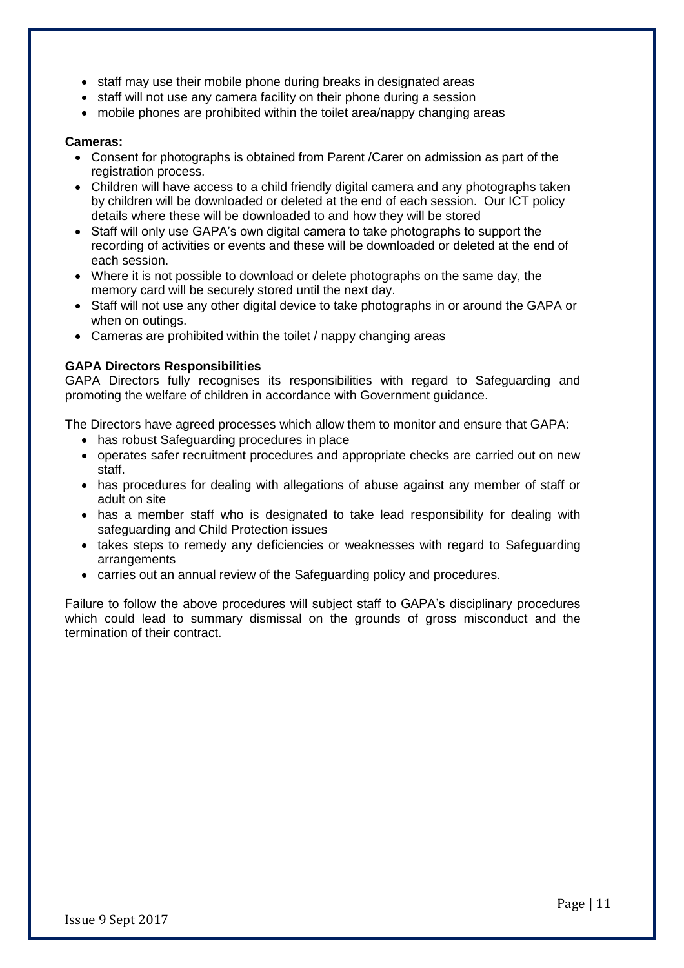- staff may use their mobile phone during breaks in designated areas
- staff will not use any camera facility on their phone during a session
- mobile phones are prohibited within the toilet area/nappy changing areas

#### **Cameras:**

- Consent for photographs is obtained from Parent /Carer on admission as part of the registration process.
- Children will have access to a child friendly digital camera and any photographs taken by children will be downloaded or deleted at the end of each session. Our ICT policy details where these will be downloaded to and how they will be stored
- Staff will only use GAPA's own digital camera to take photographs to support the recording of activities or events and these will be downloaded or deleted at the end of each session.
- Where it is not possible to download or delete photographs on the same day, the memory card will be securely stored until the next day.
- Staff will not use any other digital device to take photographs in or around the GAPA or when on outings.
- Cameras are prohibited within the toilet / nappy changing areas

#### **GAPA Directors Responsibilities**

GAPA Directors fully recognises its responsibilities with regard to Safeguarding and promoting the welfare of children in accordance with Government guidance.

The Directors have agreed processes which allow them to monitor and ensure that GAPA:

- has robust Safeguarding procedures in place
- operates safer recruitment procedures and appropriate checks are carried out on new staff.
- has procedures for dealing with allegations of abuse against any member of staff or adult on site
- has a member staff who is designated to take lead responsibility for dealing with safeguarding and Child Protection issues
- takes steps to remedy any deficiencies or weaknesses with regard to Safeguarding arrangements
- carries out an annual review of the Safeguarding policy and procedures.

Failure to follow the above procedures will subject staff to GAPA's disciplinary procedures which could lead to summary dismissal on the grounds of gross misconduct and the termination of their contract.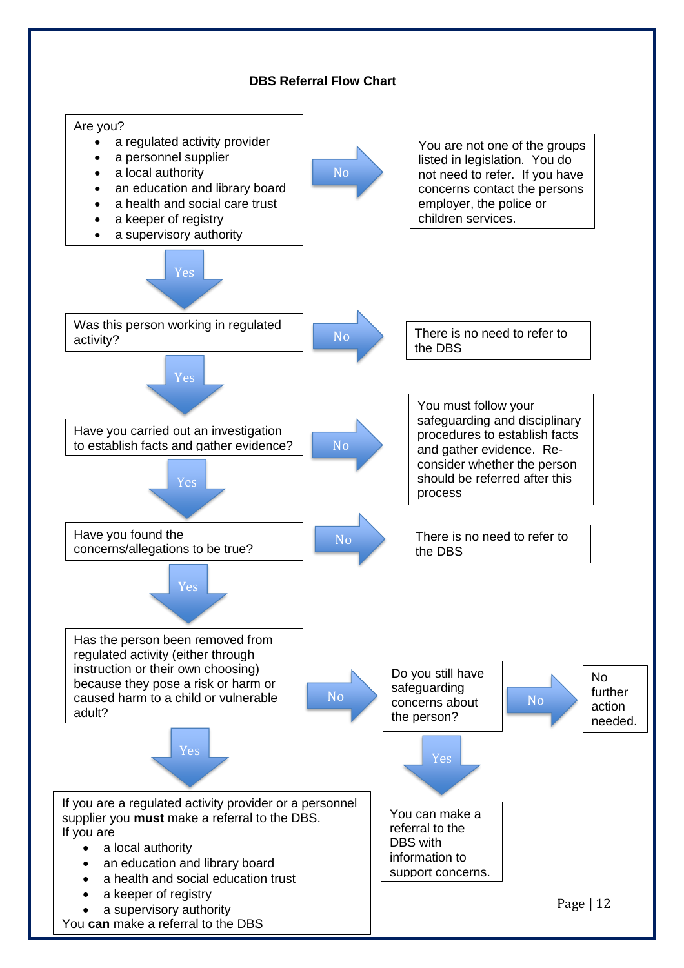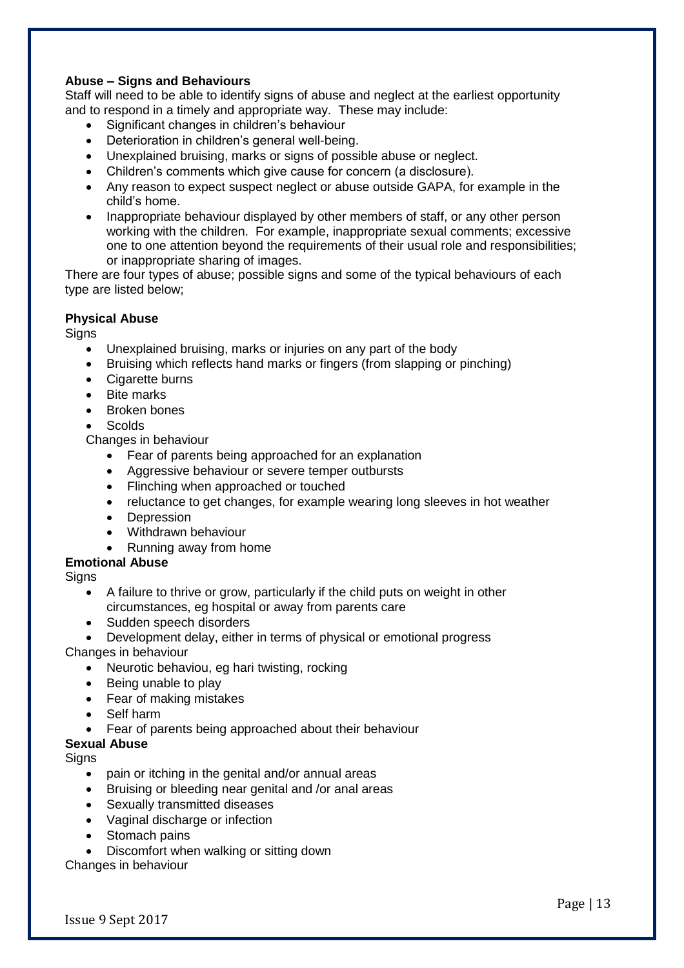### **Abuse – Signs and Behaviours**

Staff will need to be able to identify signs of abuse and neglect at the earliest opportunity and to respond in a timely and appropriate way. These may include:

- Significant changes in children's behaviour
- Deterioration in children's general well-being.
- Unexplained bruising, marks or signs of possible abuse or neglect.
- Children's comments which give cause for concern (a disclosure).
- Any reason to expect suspect neglect or abuse outside GAPA, for example in the child's home.
- Inappropriate behaviour displayed by other members of staff, or any other person working with the children. For example, inappropriate sexual comments; excessive one to one attention beyond the requirements of their usual role and responsibilities; or inappropriate sharing of images.

There are four types of abuse; possible signs and some of the typical behaviours of each type are listed below;

#### **Physical Abuse**

**Signs** 

- Unexplained bruising, marks or injuries on any part of the body
- Bruising which reflects hand marks or fingers (from slapping or pinching)
- Cigarette burns
- Bite marks
- Broken bones
- Scolds

Changes in behaviour

- Fear of parents being approached for an explanation
- Aggressive behaviour or severe temper outbursts
- Flinching when approached or touched
- reluctance to get changes, for example wearing long sleeves in hot weather
- Depression
- Withdrawn behaviour
- Running away from home

**Emotional Abuse**

**Signs** 

- A failure to thrive or grow, particularly if the child puts on weight in other circumstances, eg hospital or away from parents care
- Sudden speech disorders
- Development delay, either in terms of physical or emotional progress

Changes in behaviour

- Neurotic behaviou, eg hari twisting, rocking
- Being unable to play
- Fear of making mistakes
- Self harm
- Fear of parents being approached about their behaviour

#### **Sexual Abuse**

**Signs** 

- pain or itching in the genital and/or annual areas
- Bruising or bleeding near genital and /or anal areas
- Sexually transmitted diseases
- Vaginal discharge or infection
- Stomach pains
- Discomfort when walking or sitting down

Changes in behaviour